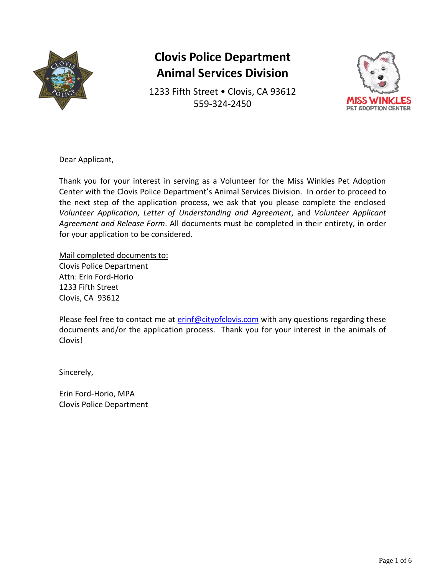

1233 Fifth Street . Clovis, CA 93612 559-324-2450



Dear Applicant,

Thank you for your interest in serving as a Volunteer for the Miss Winkles Pet Adoption Center with the Clovis Police Department's Animal Services Division. In order to proceed to the next step of the application process, we ask that you please complete the enclosed *Volunteer Application*, *Letter of Understanding and Agreement*, and *Volunteer Applicant Agreement and Release Form*. All documents must be completed in their entirety, in order for your application to be considered.

Mail completed documents to: Clovis Police Department Attn: Erin Ford-Horio 1233 Fifth Street Clovis, CA 93612

Please feel free to contact me at [erinf@cityofclovis.com](mailto:erinf@cityofclovis.com) with any questions regarding these documents and/or the application process. Thank you for your interest in the animals of Clovis!

Sincerely,

Erin Ford-Horio, MPA Clovis Police Department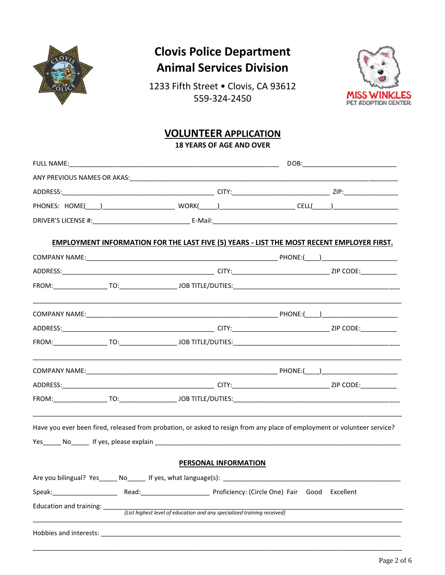

1233 Fifth Street . Clovis, CA 93612 559-324-2450



### **VOLUNTEER APPLICATION**

**18 YEARS OF AGE AND OVER** 

| EMPLOYMENT INFORMATION FOR THE LAST FIVE (5) YEARS - LIST THE MOST RECENT EMPLOYER FIRST.                                                                                                                                      |                                                                         |                      |                                                     |  |
|--------------------------------------------------------------------------------------------------------------------------------------------------------------------------------------------------------------------------------|-------------------------------------------------------------------------|----------------------|-----------------------------------------------------|--|
|                                                                                                                                                                                                                                |                                                                         |                      |                                                     |  |
|                                                                                                                                                                                                                                |                                                                         |                      |                                                     |  |
|                                                                                                                                                                                                                                |                                                                         |                      |                                                     |  |
|                                                                                                                                                                                                                                |                                                                         |                      |                                                     |  |
|                                                                                                                                                                                                                                |                                                                         |                      |                                                     |  |
|                                                                                                                                                                                                                                |                                                                         |                      |                                                     |  |
|                                                                                                                                                                                                                                |                                                                         |                      |                                                     |  |
|                                                                                                                                                                                                                                |                                                                         |                      |                                                     |  |
|                                                                                                                                                                                                                                |                                                                         |                      |                                                     |  |
| Have you ever been fired, released from probation, or asked to resign from any place of employment or volunteer service?                                                                                                       |                                                                         |                      |                                                     |  |
|                                                                                                                                                                                                                                |                                                                         | PERSONAL INFORMATION |                                                     |  |
| Are you bilingual? Yes ______ No ______ If yes, what language(s):                                                                                                                                                              |                                                                         |                      |                                                     |  |
| Speak: Speak and Speak and Speak and Speak and Speak and Speak and Speak and Speak and Speak and Speak and Speak and Speak and Speak and Speak and Speak and Speak and Speak and Speak and Speak and Speak and Speak and Speak |                                                                         |                      | Read: Proficiency: (Circle One) Fair Good Excellent |  |
| Education and training:                                                                                                                                                                                                        | (List highest level of education and any specialized training received) |                      |                                                     |  |
|                                                                                                                                                                                                                                |                                                                         |                      |                                                     |  |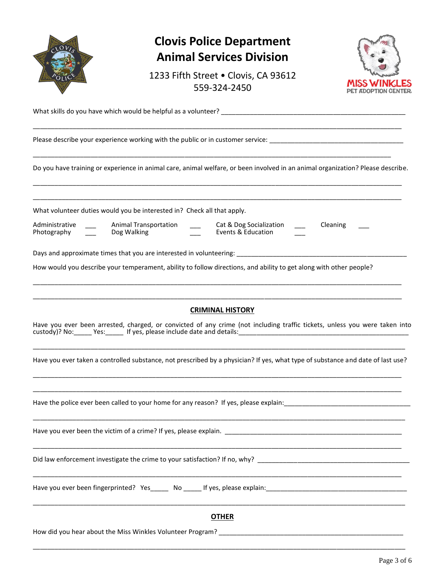| $V_{lg}$ |
|----------|
|          |
|          |
| OLIC     |
|          |
|          |

1233 Fifth Street . Clovis, CA 93612 559-324-2450



What skills do you have which would be helpful as a volunteer? \_\_\_\_\_\_\_\_\_\_\_\_\_\_\_\_\_\_\_\_\_\_\_\_\_\_\_\_\_\_\_\_\_\_\_\_\_\_\_\_\_\_\_\_\_\_\_\_\_\_\_

Please describe your experience working with the public or in customer service: \_\_\_\_\_\_\_\_\_\_\_\_\_\_\_\_\_\_\_\_\_\_\_\_\_\_\_\_\_\_\_

Do you have training or experience in animal care, animal welfare, or been involved in an animal organization? Please describe.

\_\_\_\_\_\_\_\_\_\_\_\_\_\_\_\_\_\_\_\_\_\_\_\_\_\_\_\_\_\_\_\_\_\_\_\_\_\_\_\_\_\_\_\_\_\_\_\_\_\_\_\_\_\_\_\_\_\_\_\_\_\_\_\_\_\_\_\_\_\_\_\_\_\_\_\_\_\_\_\_\_\_\_\_\_\_\_\_\_\_\_\_\_\_\_\_\_\_\_\_\_\_ \_\_\_\_\_\_\_\_\_\_\_\_\_\_\_\_\_\_\_\_\_\_\_\_\_\_\_\_\_\_\_\_\_\_\_\_\_\_\_\_\_\_\_\_\_\_\_\_\_\_\_\_\_\_\_\_\_\_\_\_\_\_\_\_\_\_\_\_\_\_\_\_\_\_\_\_\_\_\_\_\_\_\_\_\_\_\_\_\_\_\_\_\_\_\_\_\_\_\_\_\_\_

\_\_\_\_\_\_\_\_\_\_\_\_\_\_\_\_\_\_\_\_\_\_\_\_\_\_\_\_\_\_\_\_\_\_\_\_\_\_\_\_\_\_\_\_\_\_\_\_\_\_\_\_\_\_\_\_\_\_\_\_\_\_\_\_\_\_\_\_\_\_\_\_\_\_\_\_\_\_\_\_\_\_\_\_\_\_\_\_\_\_\_\_\_\_\_\_\_\_\_\_\_\_

\_\_\_\_\_\_\_\_\_\_\_\_\_\_\_\_\_\_\_\_\_\_\_\_\_\_\_\_\_\_\_\_\_\_\_\_\_\_\_\_\_\_\_\_\_\_\_\_\_\_\_\_\_\_\_\_\_\_\_\_\_\_\_\_\_\_\_\_\_\_\_\_\_\_\_\_\_\_\_\_\_\_\_\_\_\_\_\_\_\_\_\_\_\_\_\_\_\_\_

What volunteer duties would you be interested in? Check all that apply.

Administrative \_\_\_\_ Animal Transportation \_\_\_\_ Cat & Dog Socialization \_\_\_ Cleaning Photography \_\_\_ Dog Walking \_\_\_ Events & Education Events & Education

Days and approximate times that you are interested in volunteering:

How would you describe your temperament, ability to follow directions, and ability to get along with other people?

#### **CRIMINAL HISTORY**

\_\_\_\_\_\_\_\_\_\_\_\_\_\_\_\_\_\_\_\_\_\_\_\_\_\_\_\_\_\_\_\_\_\_\_\_\_\_\_\_\_\_\_\_\_\_\_\_\_\_\_\_\_\_\_\_\_\_\_\_\_\_\_\_\_\_\_\_\_\_\_\_\_\_\_\_\_\_\_\_\_\_\_\_\_\_\_\_\_\_\_\_\_\_\_\_\_\_\_\_\_\_ \_\_\_\_\_\_\_\_\_\_\_\_\_\_\_\_\_\_\_\_\_\_\_\_\_\_\_\_\_\_\_\_\_\_\_\_\_\_\_\_\_\_\_\_\_\_\_\_\_\_\_\_\_\_\_\_\_\_\_\_\_\_\_\_\_\_\_\_\_\_\_\_\_\_\_\_\_\_\_\_\_\_\_\_\_\_\_\_\_\_\_\_\_\_\_\_\_\_\_\_\_\_

Have you ever been arrested, charged, or convicted of any crime (not including traffic tickets, unless you were taken into custody)? No: \_\_\_\_\_ Yes: \_\_\_\_\_ If yes, please include date and details: \_\_\_\_\_\_\_\_\_

\_\_\_\_\_\_\_\_\_\_\_\_\_\_\_\_\_\_\_\_\_\_\_\_\_\_\_\_\_\_\_\_\_\_\_\_\_\_\_\_\_\_\_\_\_\_\_\_\_\_\_\_\_\_\_\_\_\_\_\_\_\_\_\_\_\_\_\_\_\_\_\_\_\_\_\_\_\_\_\_\_\_\_\_\_\_\_\_\_\_\_\_\_\_\_\_\_\_\_\_\_\_\_ Have you ever taken a controlled substance, not prescribed by a physician? If yes, what type of substance and date of last use?

\_\_\_\_\_\_\_\_\_\_\_\_\_\_\_\_\_\_\_\_\_\_\_\_\_\_\_\_\_\_\_\_\_\_\_\_\_\_\_\_\_\_\_\_\_\_\_\_\_\_\_\_\_\_\_\_\_\_\_\_\_\_\_\_\_\_\_\_\_\_\_\_\_\_\_\_\_\_\_\_\_\_\_\_\_\_\_\_\_\_\_\_\_\_\_\_\_\_\_\_\_\_ \_\_\_\_\_\_\_\_\_\_\_\_\_\_\_\_\_\_\_\_\_\_\_\_\_\_\_\_\_\_\_\_\_\_\_\_\_\_\_\_\_\_\_\_\_\_\_\_\_\_\_\_\_\_\_\_\_\_\_\_\_\_\_\_\_\_\_\_\_\_\_\_\_\_\_\_\_\_\_\_\_\_\_\_\_\_\_\_\_\_\_\_\_\_\_\_\_\_\_\_\_\_

\_\_\_\_\_\_\_\_\_\_\_\_\_\_\_\_\_\_\_\_\_\_\_\_\_\_\_\_\_\_\_\_\_\_\_\_\_\_\_\_\_\_\_\_\_\_\_\_\_\_\_\_\_\_\_\_\_\_\_\_\_\_\_\_\_\_\_\_\_\_\_\_\_\_\_\_\_\_\_\_\_\_\_\_\_\_\_\_\_\_\_\_\_\_\_\_\_\_\_\_\_\_\_

\_\_\_\_\_\_\_\_\_\_\_\_\_\_\_\_\_\_\_\_\_\_\_\_\_\_\_\_\_\_\_\_\_\_\_\_\_\_\_\_\_\_\_\_\_\_\_\_\_\_\_\_\_\_\_\_\_\_\_\_\_\_\_\_\_\_\_\_\_\_\_\_\_\_\_\_\_\_\_\_\_\_\_\_\_\_\_\_\_\_\_\_\_\_\_\_\_\_\_\_\_\_

\_\_\_\_\_\_\_\_\_\_\_\_\_\_\_\_\_\_\_\_\_\_\_\_\_\_\_\_\_\_\_\_\_\_\_\_\_\_\_\_\_\_\_\_\_\_\_\_\_\_\_\_\_\_\_\_\_\_\_\_\_\_\_\_\_\_\_\_\_\_\_\_\_\_\_\_\_\_\_\_\_\_\_\_\_\_\_\_\_\_\_\_\_\_\_\_\_\_\_\_\_\_

Have the police ever been called to your home for any reason? If yes, please explain:

Have you ever been the victim of a crime? If yes, please explain. \_\_\_\_\_\_\_\_\_\_\_\_\_\_\_\_\_\_\_\_\_\_\_\_\_\_\_\_\_\_\_\_\_\_\_\_\_\_\_\_\_\_\_\_\_\_\_\_\_

Did law enforcement investigate the crime to your satisfaction? If no, why? \_\_\_\_\_\_\_\_\_\_\_\_\_\_\_\_\_\_\_\_\_\_\_\_

Have you ever been fingerprinted? Yes \_\_\_\_\_ No \_\_\_\_\_ If yes, please explain: \_\_\_\_\_\_\_\_\_\_\_\_\_\_\_\_\_\_\_\_\_\_\_\_\_\_\_\_\_\_\_\_\_

**OTHER**

\_\_\_\_\_\_\_\_\_\_\_\_\_\_\_\_\_\_\_\_\_\_\_\_\_\_\_\_\_\_\_\_\_\_\_\_\_\_\_\_\_\_\_\_\_\_\_\_\_\_\_\_\_\_\_\_\_\_\_\_\_\_\_\_\_\_\_\_\_\_\_\_\_\_\_\_\_\_\_\_\_\_\_\_\_\_\_\_\_\_\_\_\_\_\_\_\_\_\_\_\_\_\_

\_\_\_\_\_\_\_\_\_\_\_\_\_\_\_\_\_\_\_\_\_\_\_\_\_\_\_\_\_\_\_\_\_\_\_\_\_\_\_\_\_\_\_\_\_\_\_\_\_\_\_\_\_\_\_\_\_\_\_\_\_\_\_\_\_\_\_\_\_\_\_\_\_\_\_\_\_\_\_\_\_\_\_\_\_\_\_\_\_\_\_\_\_\_\_\_\_\_\_\_\_\_\_

How did you hear about the Miss Winkles Volunteer Program?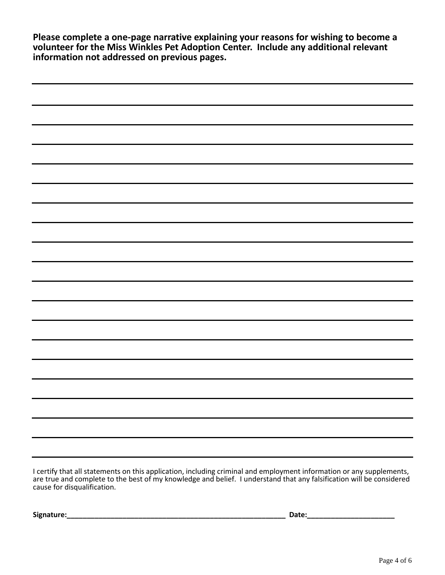**Please complete a one-page narrative explaining your reasons for wishing to become a volunteer for the Miss Winkles Pet Adoption Center. Include any additional relevant information not addressed on previous pages.**

| -<br>I admit a bara il ara romana del rito del trarto e del calcello del control del la controlación del comunicación de la control de la control de la control de la control de la control de la control de la control de la contr |
|-------------------------------------------------------------------------------------------------------------------------------------------------------------------------------------------------------------------------------------|

I certify that all statements on this application, including criminal and employment information or any supplements, are true and complete to the best of my knowledge and belief. I understand that any falsification will be considered cause for disqualification.

**Signature:\_\_\_\_\_\_\_\_\_\_\_\_\_\_\_\_\_\_\_\_\_\_\_\_\_\_\_\_\_\_\_\_\_\_\_\_\_\_\_\_\_\_\_\_\_\_\_\_\_\_\_\_\_\_\_ Date:\_\_\_\_\_\_\_\_\_\_\_\_\_\_\_\_\_\_\_\_\_\_**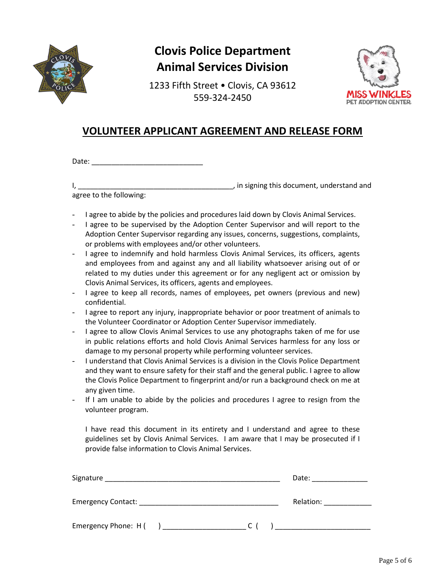

1233 Fifth Street • Clovis, CA 93612 559-324-2450



### **VOLUNTEER APPLICANT AGREEMENT AND RELEASE FORM**

Date: \_\_\_\_\_\_\_\_\_\_\_\_\_\_\_\_\_\_\_\_\_\_\_\_\_\_\_\_

I, the signing this document, understand and  $\overline{a}$ , in signing this document, understand and agree to the following:

- I agree to abide by the policies and procedures laid down by Clovis Animal Services.
- I agree to be supervised by the Adoption Center Supervisor and will report to the Adoption Center Supervisor regarding any issues, concerns, suggestions, complaints, or problems with employees and/or other volunteers.
- I agree to indemnify and hold harmless Clovis Animal Services, its officers, agents and employees from and against any and all liability whatsoever arising out of or related to my duties under this agreement or for any negligent act or omission by Clovis Animal Services, its officers, agents and employees.
- I agree to keep all records, names of employees, pet owners (previous and new) confidential.
- I agree to report any injury, inappropriate behavior or poor treatment of animals to the Volunteer Coordinator or Adoption Center Supervisor immediately.
- I agree to allow Clovis Animal Services to use any photographs taken of me for use in public relations efforts and hold Clovis Animal Services harmless for any loss or damage to my personal property while performing volunteer services.
- I understand that Clovis Animal Services is a division in the Clovis Police Department and they want to ensure safety for their staff and the general public. I agree to allow the Clovis Police Department to fingerprint and/or run a background check on me at any given time.
- If I am unable to abide by the policies and procedures I agree to resign from the volunteer program.

I have read this document in its entirety and I understand and agree to these guidelines set by Clovis Animal Services. I am aware that I may be prosecuted if I provide false information to Clovis Animal Services.

| Signature                 |     | Date:     |
|---------------------------|-----|-----------|
| <b>Emergency Contact:</b> |     | Relation: |
| Emergency Phone: H (      | C I |           |